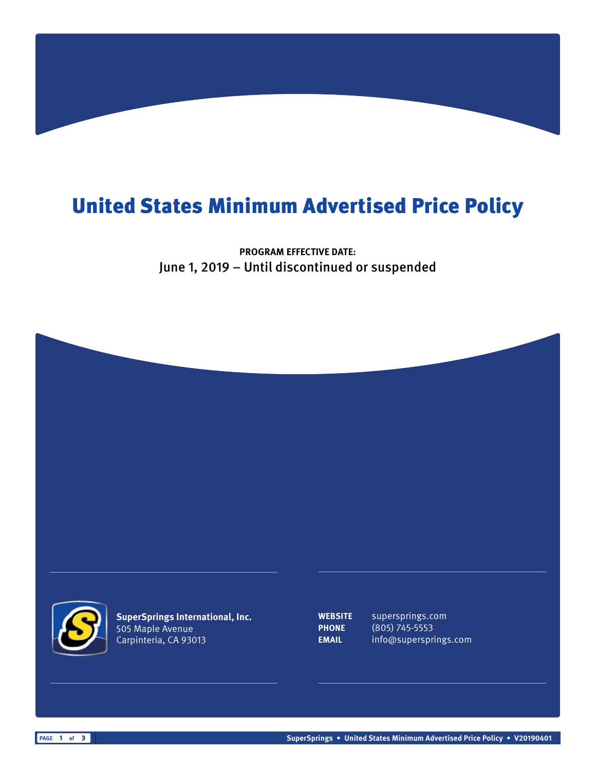## United States Minimum Advertised Price Policy

**PROGRAM EFFECTIVE DATE:** June 1, 2019 – Until discontinued or suspended





**SuperSprings International, Inc.** 505 Maple Avenue Carpinteria, CA 93013

**WEBSITE** supersprings.com **PHONE** (805) 745-5553 **EMAIL** info@supersprings.com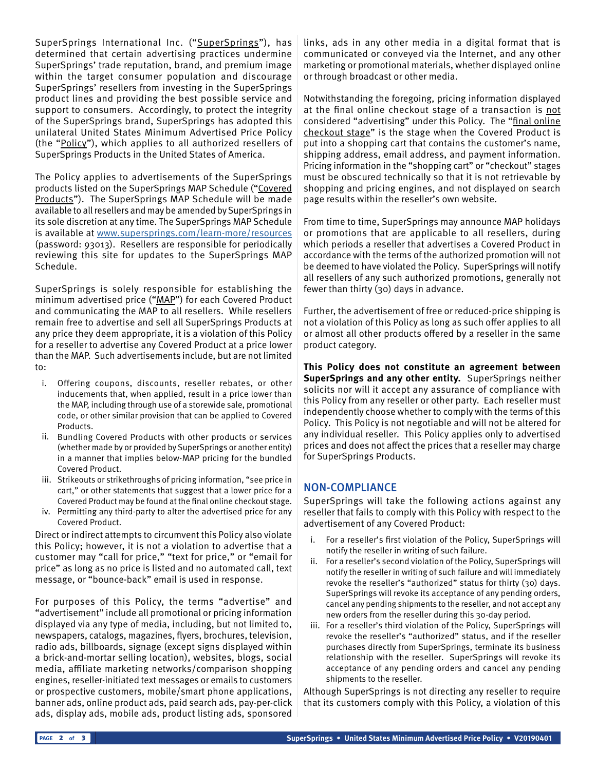SuperSprings International Inc. ("SuperSprings"), has determined that certain advertising practices undermine SuperSprings' trade reputation, brand, and premium image within the target consumer population and discourage SuperSprings' resellers from investing in the SuperSprings product lines and providing the best possible service and support to consumers. Accordingly, to protect the integrity of the SuperSprings brand, SuperSprings has adopted this unilateral United States Minimum Advertised Price Policy (the "Policy"), which applies to all authorized resellers of SuperSprings Products in the United States of America.

The Policy applies to advertisements of the SuperSprings products listed on the SuperSprings MAP Schedule ("Covered Products"). The SuperSprings MAP Schedule will be made available to all resellers and may be amended by SuperSprings in its sole discretion at any time. The SuperSprings MAP Schedule is available at [www.supersprings.com/learn-more/resources](http://www.supersprings.com/learn-more/resources) (password: 93013). Resellers are responsible for periodically reviewing this site for updates to the SuperSprings MAP Schedule.

SuperSprings is solely responsible for establishing the minimum advertised price ("MAP") for each Covered Product and communicating the MAP to all resellers. While resellers remain free to advertise and sell all SuperSprings Products at any price they deem appropriate, it is a violation of this Policy for a reseller to advertise any Covered Product at a price lower than the MAP. Such advertisements include, but are not limited to:

- i. Offering coupons, discounts, reseller rebates, or other inducements that, when applied, result in a price lower than the MAP, including through use of a storewide sale, promotional code, or other similar provision that can be applied to Covered Products.
- ii. Bundling Covered Products with other products or services (whether made by or provided by SuperSprings or another entity) in a manner that implies below-MAP pricing for the bundled Covered Product.
- iii. Strikeouts or strikethroughs of pricing information, "see price in cart," or other statements that suggest that a lower price for a Covered Product may be found at the final online checkout stage.
- iv. Permitting any third-party to alter the advertised price for any Covered Product.

Direct or indirect attempts to circumvent this Policy also violate this Policy; however, it is not a violation to advertise that a customer may "call for price," "text for price," or "email for price" as long as no price is listed and no automated call, text message, or "bounce-back" email is used in response.

For purposes of this Policy, the terms "advertise" and "advertisement" include all promotional or pricing information displayed via any type of media, including, but not limited to, newspapers, catalogs, magazines, flyers, brochures, television, radio ads, billboards, signage (except signs displayed within a brick-and-mortar selling location), websites, blogs, social media, affiliate marketing networks/comparison shopping engines, reseller-initiated text messages or emails to customers or prospective customers, mobile/smart phone applications, banner ads, online product ads, paid search ads, pay-per-click ads, display ads, mobile ads, product listing ads, sponsored links, ads in any other media in a digital format that is communicated or conveyed via the Internet, and any other marketing or promotional materials, whether displayed online or through broadcast or other media.

Notwithstanding the foregoing, pricing information displayed at the final online checkout stage of a transaction is not considered "advertising" under this Policy. The "final online checkout stage" is the stage when the Covered Product is put into a shopping cart that contains the customer's name, shipping address, email address, and payment information. Pricing information in the "shopping cart" or "checkout" stages must be obscured technically so that it is not retrievable by shopping and pricing engines, and not displayed on search page results within the reseller's own website.

From time to time, SuperSprings may announce MAP holidays or promotions that are applicable to all resellers, during which periods a reseller that advertises a Covered Product in accordance with the terms of the authorized promotion will not be deemed to have violated the Policy. SuperSprings will notify all resellers of any such authorized promotions, generally not fewer than thirty (30) days in advance.

Further, the advertisement of free or reduced-price shipping is not a violation of this Policy as long as such offer applies to all or almost all other products offered by a reseller in the same product category.

**This Policy does not constitute an agreement between SuperSprings and any other entity.** SuperSprings neither solicits nor will it accept any assurance of compliance with this Policy from any reseller or other party. Each reseller must independently choose whether to comply with the terms of this Policy. This Policy is not negotiable and will not be altered for any individual reseller. This Policy applies only to advertised prices and does not affect the prices that a reseller may charge for SuperSprings Products.

## NON-COMPLIANCE

SuperSprings will take the following actions against any reseller that fails to comply with this Policy with respect to the advertisement of any Covered Product:

- i. For a reseller's first violation of the Policy, SuperSprings will notify the reseller in writing of such failure.
- ii. For a reseller's second violation of the Policy, SuperSprings will notify the reseller in writing of such failure and will immediately revoke the reseller's "authorized" status for thirty (30) days. SuperSprings will revoke its acceptance of any pending orders, cancel any pending shipments to the reseller, and not accept any new orders from the reseller during this 30-day period.
- iii. For a reseller's third violation of the Policy, SuperSprings will revoke the reseller's "authorized" status, and if the reseller purchases directly from SuperSprings, terminate its business relationship with the reseller. SuperSprings will revoke its acceptance of any pending orders and cancel any pending shipments to the reseller.

Although SuperSprings is not directing any reseller to require that its customers comply with this Policy, a violation of this